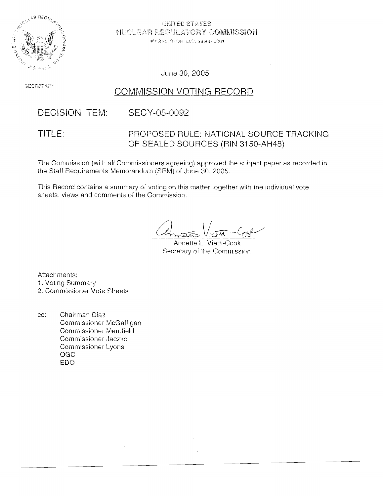

UNITED STATES NUCLEAR P.EGULATORY COMMISSION WASHMPTOM D.C. 20555-0001

June *30,* 2005

**SECRETARY** 

## COMMISSION VOTING RECORD,

#### **DECISION ITEM:** SECY-05-0092

### TITLE: PROPOSED RULE: NATIONAL SOURCE TRACKING OF SEALED SOURCES (RIN 31 50-AH48)

The Commission (with all Commissioners agreeing) approved the subject paper as cecorded in the Staff Requirements Memorandum (SRM) of June 30, 2005.

This Record contains a summary of voting on this matter together with the individual vote sheets, views and comments of the Commission.

Annette L. Vietti-Cook Secretary of the Commission

Attachments: 1. Voting Summary

2. Commissioner Vote Sheets

cc: Chairman Diaz Commissioner McGaffigan Commissioner Merrifield Commissioner Jaczko Commissioner Lyons OGC EDO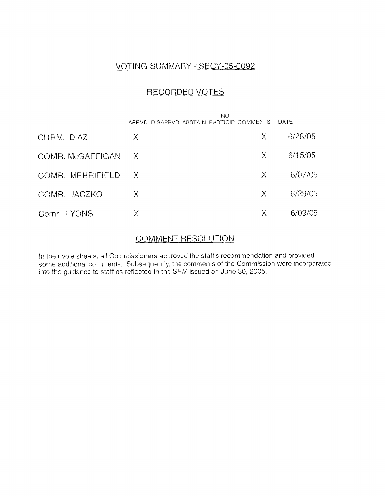## VOTING SUMMARY - SECY-05-0092

## RECORDED VOTES

|                    | NOT<br>APRVD DISAPRVD ABSTAIN PARTICIP COMMENTS |          | DATE    |
|--------------------|-------------------------------------------------|----------|---------|
| CHRM. DIAZ         | X.                                              | Χ        | 6/28/05 |
| COMR. McGAFFIGAN X |                                                 | X.       | 6/15/05 |
| COMR. MERRIFIELD   | $\mathsf{X}$                                    | X.       | 6/07/05 |
| COMR. JACZKO       | X.                                              | $\times$ | 6/29/05 |
| Comr. LYONS        | Χ                                               | Χ        | 6/09/05 |

### COMMENT RESOLUTION

In their vote sheets, all Commissioners approved the staff's recornmendation and provided some additional comments. Subsequently, the comments of the Commission were incorporated into the guidance to staff as reflected in the SRM issued on June 30, 2005.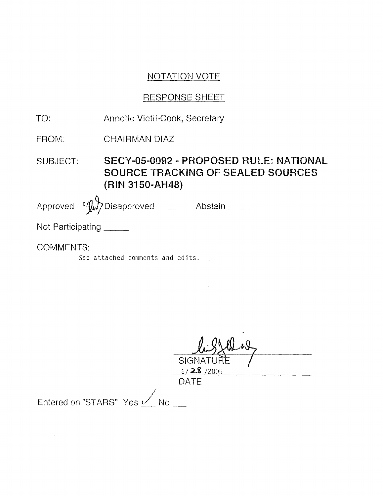## NOTATION VOTE

## RESPONSE SHEET

| TO:                      | Annette Vietti-Cook, Secretary                                                                        |  |  |
|--------------------------|-------------------------------------------------------------------------------------------------------|--|--|
| FROM:                    | <b>CHAIRMAN DIAZ</b>                                                                                  |  |  |
| SUBJECT:                 | SECY-05-0092 - PROPOSED RULE: NATIONAL<br><b>SOURCE TRACKING OF SEALED SOURCES</b><br>(RIN 3150-AH48) |  |  |
|                          | Approved Xy Disapproved _______ Abstain _____                                                         |  |  |
| Not Participating ______ |                                                                                                       |  |  |
| <b>COMMENTS:</b>         |                                                                                                       |  |  |

See attached comments and edits,

 $\mathcal{A}$ 

 $\bar{z}$ 

0/<del>40</del>/2005

DATE

**i** 

Entered on "STARS"  $\;$ Yes  $\angle\!\!\!\!\!\!\!\!/$  No .

 $\sim$   $\alpha$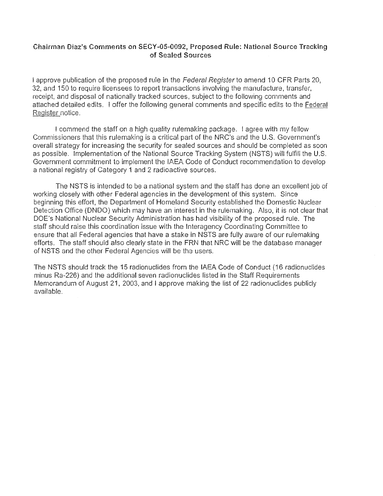#### Chairman **Diazys Comments** on SECY-05-0092, **Proposed Rule:** National Source Tracking of Sealed **Sources**

<sup>I</sup>approve publication of ihe proposed rule in the Federal Register to amend 10 CFR Parts 20, 32, and 150 to require licensees to report transactions involving the manufacture, transfer, receipt, and disposal of nationally tracked sources, subject to the following comments and attached detailed edits. **I** offer the following general comments and specific edits to the Federal Register notice.

! commend the staff on a high quality ruiemaking package. I agree with my fellow Comnlissioners that this rulemaking is a critical part of the NRC's and the U.S. Government's overall strategy for increasing the security for sealed sources and should be completed as soon as possible. Implementation of the Nationai Source Tracking System (NSTS) will fulfill the U.S. Government commitment to implement the IAEA Code of Conduct recommendation to develop a national registry of Category 1 and 2 radioactive sources.

The NSTS is intended to be a national system and the staff has done an excellent job of working closely with other Federal agencies in the development of this system. Since beginning this effori, the Department of Homeland Security established the Domestic Nuclear Detection Office (DNDO) which may have an interest in the rulernaking. Also, it is not clear that DOE'S National Nuclear Security Administration has had visibility of the proposed rule. The staff should raise this coordination issue with the Interagency Coordinating Committee to ensure that all Federal agencies that have a stake in NSTS are fully aware of our rulemaking efforts. The staff should also clearly state in the FRN that NRC will be the database manager of NSTS and the other Federal Agencies will be the users.

The NSTS should track the 15 radionuclides from the !AEA Code of Conduct (16 radionuclides minus Ra-226) and the additional seven radionuclides listed in the Staff Requirements Memorandum of August 21, 2003, and **1** approve making the iist of 22 radionuclides publicly available.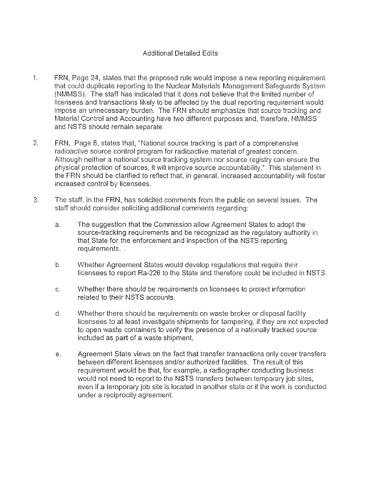#### Additional Detailed Edits

- 1. FRN, Page 24, states that the proposed rule would impose a new reporting requirement that could duplicate reporting to the Nuclear Materials Management Safeguards System (NMMSS). The staff has indicated that it does not believe that the limited number of licensees and transactions likely to be affected by the dual reporiing requirement would impose an unnecessary burden. The FRN should emphasize that source tracking and Material Control and Accounting have two different purposes and, therefore, NMMSS and NSTS should remain separate.
- 2. FRN, Page 8, states that, "National source tracking is part of a comprehensive radioactive source control program for radioactive material of greatest concern. Although neither a national source tracking system nor source registry can ensure the physical protection of sources, it will improve source accountability." This statement in the FRN should be clarified to reflect that, in general, increased accountability will foster increased control by licensees.
- 3. The staff, in the FRN, has solicited comments from the public on several issues. The staff should consider soliciting additional comments regarding:
	- a. The suggestion that the Commission allow Agreement States to adopt the source-tracking requirements and be recognized as the regulatory auihority in that State for the enforcement and inspection of the NSTS reporting requirements. .
	- b. Whether Agreement States would develop regulations that require their licensees to report Ra-226 to the State and therefore could be included in NSTS.
	- c. Whether there should be requirements on licensees to protect information related to their NSTS accounts.
	- d. Whether there should be requirements on waste broker or disposal facility licensees to at least investigate shipments for tampering, if they are not expected to open waste containers to verify the presence of a nationally tracked source included as part of a waste shipment.
	- e. Agreement State views on the fact that transfer transactions only cover transfers between different licensees and/or authorized facilities. The result of this requirement would be that, for example, a radiographer conducting business would not need to repori to the NSTS transfers between temporary job sites, even if a temporary job site is located in another state or if the work is conducted under a reciprocity agreement.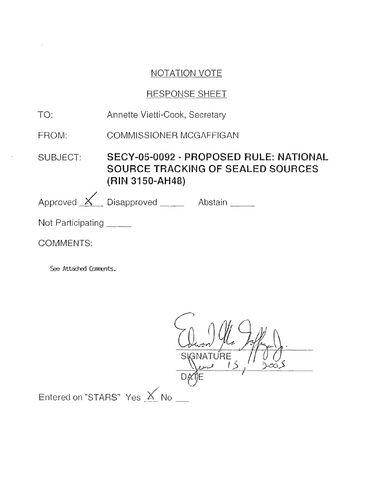## NOTATION VOTE

## RESPONSE SHEET

| TO:                      | Annette Vietti-Cook, Secretary                                                                 |  |  |  |
|--------------------------|------------------------------------------------------------------------------------------------|--|--|--|
| FROM:                    | COMMISSIONER MCGAFFIGAN                                                                        |  |  |  |
| SUBJECT:                 | SECY-05-0092 - PROPOSED RULE: NATIONAL<br>SOURCE TRACKING OF SEALED SOURCES<br>(RIN 3150-AH48) |  |  |  |
|                          | Approved $\angle$ Disapproved Abstain                                                          |  |  |  |
| Not Participating ______ |                                                                                                |  |  |  |
| COMMENTS:                |                                                                                                |  |  |  |

See Attached Comments.

 $S<sub>1</sub>$ GNATURE 巧 DĄ Entered on "STARS" Yes  $\times$  No  $-$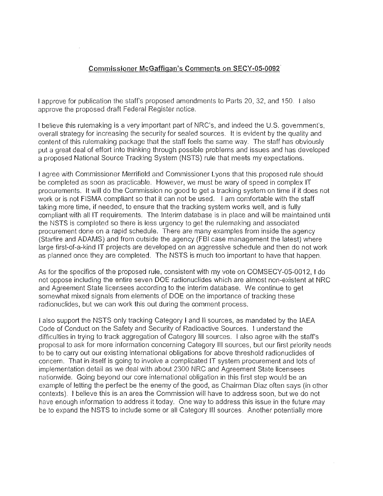#### **Commissioner McGaffiqan's** Comments on **SECY-05-6092**

I approve for publication the staff's proposed amendments to Parts 20, 32, and 150. I also approve the proposed draft Federal Register notice.

I believe this rulemaking is a very important part of NRC's, and indeed the U.S. government's, overall strategy for increasing the security for sealed sources. It is evident by the quality and content of this rulemaking package that the staff feels the same way. The staff has obviously put a great deal of effort into thinking through possible problems and issues and has developed a proposed National Source Tracking System (NSTS) rule that meets my expectations.

I agree with Commissioner Merrifield and Commissioner Lyons that this proposed rule should be completed as soon as practicable. However, we must be wary of speed in complex IT procurements. It will do the Commission no good to get a tracking system on time if it does not work or is not FlSMA compliant so that it can not be used. I am comfortable wiih the staff taking more time, if needed, to ensure that the tracking system works well, and is fully compliant with all IT requirements. The Interim database is in place and will be maintained until the NSTS is completed so there is less urgency to get the rulemaking and associated procurement done on a rapid schedule. There are many examples from inside the agency (Starfire and ADAMS) and from outside the agency (FBI case management the latest) where large first-of-a-kind IT projects are developed on an aggressive schedule and then do not work as planned once they are completed. The NSTS is much too important to have that happen.

As for the specifics of the proposed rule, consistent with my vote on COMSECY-05-0012, 1 do riot oppose including the entire seven DOE radionuclides which are almost non-existent at NRC and Agieement State licensees according to the interim database. We continue to get somewhat mixed signals from elements of DOE on the importance of tracking these radionuclides, but we can work this out during the comment process.

1 also suppod the NSTS only tracking Category **1** and I1 sources, as mandated by the lAEA Code of Conduct on the Safety and Security of Radioactive Sources. I understand the difficulties in trying to track aggregation of Category I11 sources. I also agree with the staff's proposal to ask for more information concerning Category Ill sources, but our first priority needs to be to carry out our existing international obligations for above threshold radionuclides of concern. That in itself is going to involve a complicated IT system procurement and lots of implementation detail as we deal with about 2300 NRC and Agreement State licensees nationwide. Going beyond our core international obligation in this first step would be an exampie of letting the perfect be the enemy of the good, as Chairman Diaz often says (in other contexts). I believe this is an area the Commission will have to address soon, but we do not have enough information to address it today. One way to address this issue in ihe future may be to expand the NSTS to include some or all Category III sources. Another potentially more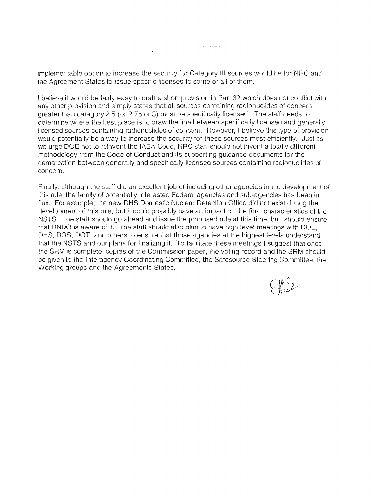implementable option to increase the security for Category III sources would be for NRC and the Agreement States to issue specific licenses to some or all of them.

 $\sim$  . . . . .

I believe it would be fairly easy to draft a short provision in Part 32 which does not conflict with any other provision and simply states that all sources containing radionuclides of concern greater than category 2.5 (or 2.75 or 3) must be specifically licensed. The staff needs to determine where the best place is to draw the line between specifically licensed and generally licensed sources containing radionuclides of concern. However, I believe this type of provision would potentially be a way to increase the security for these sources most efficiently. Just as we urge DOE not to reinvent the IAEA Code, NRC staff should not invent a totally different methodology from the Code of Conduct and its supporting quidance documents for the demarcation between generally and specifically licensed sources containing radionuclides of concern.

Finally, although the staff did an excellent job of including other agencies in the development of this rule, the family of potentially interested Federal agencies and sub-agencies has been in flux. For example, the new DHS Domestic Nuclear Detection Office did not exist during the development of this rule, but it could possibly have an impact on the final characteristics of the NSTS. The staff should go ahead and issue the proposed rule at this time, but should ensure that DNDO is aware of it. The staff should also plan to have high level meetings with DOE, DHS, DOS, DOT, and others to ensure that those agencies at the highest levels understand that the NSTS and our plans for finalizing it. To facilitate these meetings I suggest that once the SRM is complete, copies of the Commission paper, the voting record and the SRM should be given to the Interagency Coordinating Committee, the Safesource Steering Committee, the Working groups and the Agreements States.

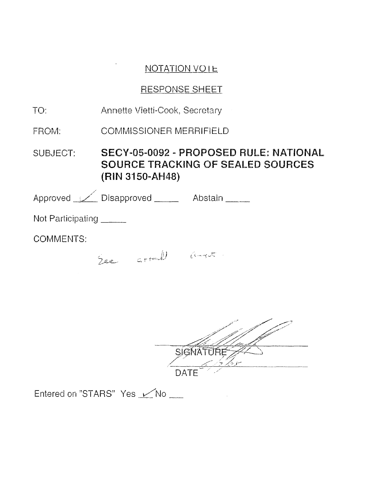## **NOTATION VOIE**

# RESPONSE SHEET

| TO:                      | Annette Vietti-Cook, Secretary                                                                 |                                                                                                                 |  |
|--------------------------|------------------------------------------------------------------------------------------------|-----------------------------------------------------------------------------------------------------------------|--|
| FROM:                    | <b>COMMISSIONER MERRIFIELD</b>                                                                 |                                                                                                                 |  |
| SUBJECT:                 | SECY-05-0092 - PROPOSED RULE: NATIONAL<br>SOURCE TRACKING OF SEALED SOURCES<br>(RIN 3150-AH48) |                                                                                                                 |  |
|                          | Approved <u>V</u> Disapproved Abstain                                                          |                                                                                                                 |  |
| Not Participating ______ |                                                                                                |                                                                                                                 |  |
| <b>COMMENTS:</b>         |                                                                                                |                                                                                                                 |  |
|                          | See arrull and                                                                                 |                                                                                                                 |  |
|                          |                                                                                                |                                                                                                                 |  |
|                          |                                                                                                |                                                                                                                 |  |
|                          |                                                                                                | and the state of the state of the state of the state of the state of the state of the state of the state of the |  |

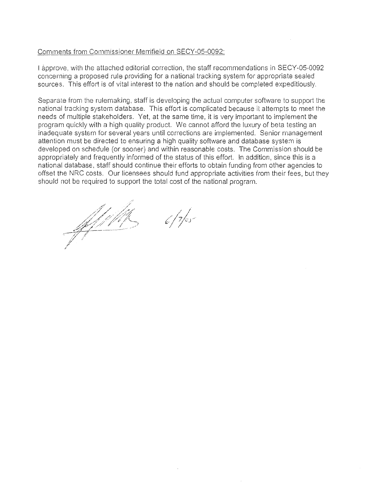#### Comments from Commissioner Merrifield on SECY-05-0092:

I approve, with the attached editorial correction, the staff recommendations in SECY-05-0092 concerning a proposed rule providing for a national tracking system for appropriate sealed sources. This effort is of vital interest to the nation and should be completed expeditiously.

Separate from the rulemaking, staff is developing the actual computer software to support the - national tracking system database. This effort is complicated because it attempts to meet the needs of multiple stakeholders. Yet, at the same time, it is very important to implement the program quickly with a high quality product. We cannot afford the luxury of beta testing an inadequate system for several years until corrections are implemented. Senior management attention must be directed to ensuring a high quality software and database system is developed on schedule (or sooner) and within reasonable costs. The Commission should be appropriately and frequently informed of the status of this effort. In addition, since this is a national database, staff should continue their efforts to obtain funding from other agencies to offset the NRC costs. Our licensees should fund appropriate activities from their fees, but they should not be required to support the total cost of the national program.

<u>Stylield</u>

 $6/7/5$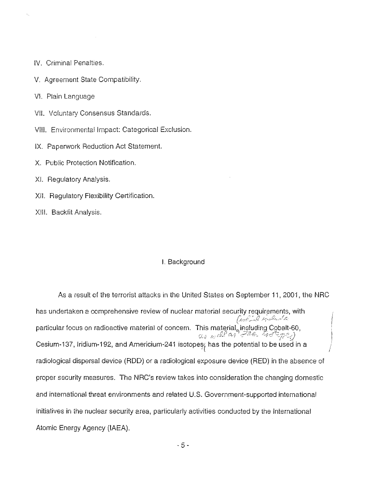- IV. Criminal Penalties.
- V. Agreement State Compatibility.
- VI. Plain Language
- VII. Voluntary Consensus Standards.
- VIII. Environmental Impact: Categorical Exclusion.
- IX. Paperwork Reduction Act Statement.
- X. Public Protection Notification.
- XI. Regulatory Analysis.
- XII. Regulatory Flexibility Certification.
- XIII. Backfit Analysis.

#### I. Background

As a result of the terrorist attacks in the United States on September 11, 2001, the NRC has undertaken a comprehensive review of nuclear material security requirements, with autil Gelede particular focus on radioactive material of concern. This material, including Cobalt-60, as well as the toologies) Cesium-137, Iridium-192, and Americium-241 isotopes; has the potential to be used in a radiological dispersal device (RDD) or a radiological exposure device (RED) in the absence of proper security measures. The NRC's review takes into consideration the changing domestic and international threat environments and related U.S. Government-supported international initiatives in the nuclear security area, particularly activities conducted by the International Atomic Energy Agency (IAEA).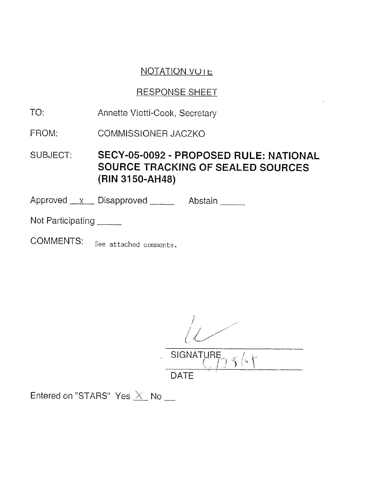## **NOTATION VOIE**

## **RESPONSE SHEET**

- $TO:$ Annette Vietti-Cook, Secretary
- FROM: COMMISSIONER JACZKO

SECY-05-0092 - PROPOSED RULE: NATIONAL SUBJECT: SOURCE TRACKING OF SEALED SOURCES (RIN 3150-AH48)

Approved x Disapproved Abstain

Not Participating

**COMMENTS:** See attached comments.

SIGNATURE  $\int$   $\sqrt{\epsilon}$ 

**DATE** 

Entered on "STARS" Yes  $\times$  No  $-$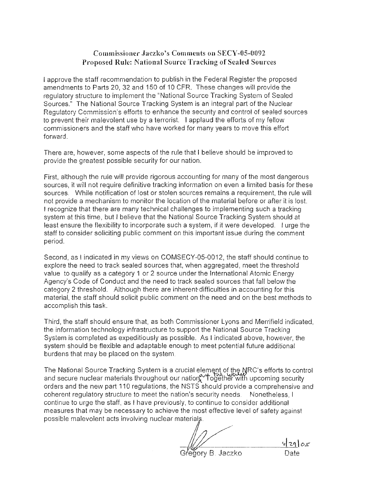#### **Conimissionet- Jaczlao's Comments on** SEW-05-0092. **Proposed dRdc National Source Tracking of Scaled** Sources

I approve the staff recommendation to publish in the Federal Register the proposed amendments to Parts 20, 32 and 150 of 10 CFR. These changes will provide the regulatory structure to implement the "National Source Tracking System of Sealed Sources." The National Source Tracking System is an integral part of the Nuclear Regulatory Commission's efforts to enhance the security and control of sealed sources 'to preveni their malevolent use by a terrorist. I applaud the efforts of niy fellow commissioners and the staff who have worked for many years to move this effort forward.

There are, however, some aspects of the rule that I believe should be improved io provide the greatest possible security for our nation.

First, although the rule will provide rigorous accounting for many of the most dangerous sources, it will not require definitive tracking information on even a limited basis for these sources. While notification of lost or stolen sources remains a requirement, the rule will not provide a mechanism to monitor the location of the material before or after it is lost. I recognize that there are many technical challenges to implementing such a tracking system at this time, but I believe that the National Source Tracking System should at least ensure the flexibility to incorporate such a system, if it were developed. **1** urge the staff to consider soliciting public comment on this important issue during the comment period.

Second, as **1** indicated in my views on COMSECY-05-0012, the staff should conrinue to explore the need to track sealed sources that, when aggregated, meet the threshold value to qualify as a category 1 or 2 source under the international Atomic Energy Agency's Code cf Conduct and the need to track sealed sources that fall below the category 2 threshold. Although there are inherent difficulties in accounting for this material, the staff should solicit public comment on the need and on the besi methods to accomplish this task.

Third, the staff should ensure that, as both Commissioner Lyons and Merrifield indicated, the information technology infrastructure to support the National Source Tracking System is completed as expeditiously as possible. As I indicated above, however, the system should be flexible and adaptable enough to meet pdential future additional burdens that may be placed on the system.

The National Source Tracking System is a crucial element of the NRC's efforts to control and secure nuclear materials throughout our nation. Together with upcoming security orders and the new part 110 regulations, the NSTS should provide a comprehensive and coherent regulatory structure to meet the nation's security needs. Nonetheless, I continue to urge the staff, as I have previously, to continue to consider additional measures that may be necessary to achieve the most effective level of safety against possible malevolent acts involving nuclear materials.

 $v$ |29 $\sigma$ 5 <sup>/</sup>eαorv B. Jaczko. Date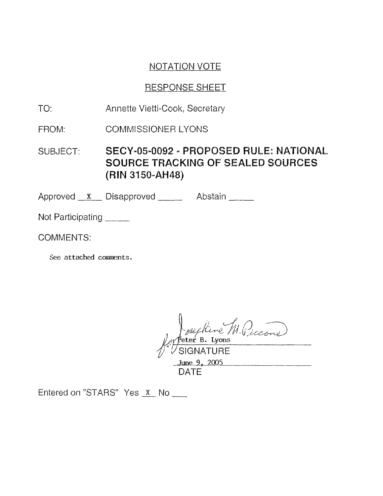## NOTATION VOTE

## RESPONSE SHEET

- TO: Annette Vietti-Cook, Secretary
- FROM: COMMISSIONER LYONS

SECY-05-0092 - PROPOSED RULE: NATIONAL SUBJECT: SOURCE TRACKING OF SEALED SOURCES **(RIN 3150-AH48)** 

Approved **X** Disapproved **Abstain** 

Not Participating

COMMENTS:

See attached comments.

Entered on "STP,RSV Yes No -

DATE